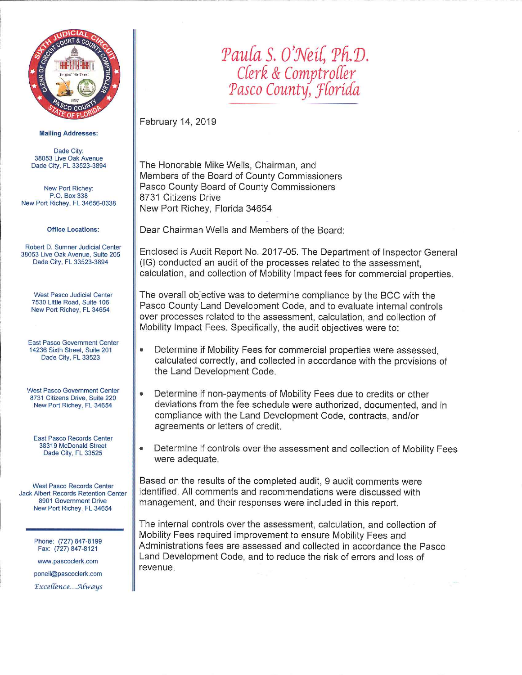

#### **Mailing Addresses:**

Dade City: 38053 Live Oak Avenue Dade City, FL 33523-3894

New Port Richey: P.O. Box 338 New Port Richey, FL 34656-0338

#### **Office Locations:**

Robert D. Sumner Judicial Center 38053 Live Oak Avenue, Suite 205 Dade City, FL 33523-3894

**West Pasco Judicial Center** 7530 Little Road, Suite 106 New Port Richey, FL 34654

East Pasco Government Center 14236 Sixth Street, Suite 201 Dade City, FL 33523

**West Pasco Government Center** 8731 Citizens Drive, Suite 220 New Port Richey, FL 34654

East Pasco Records Center 38319 McDonald Street Dade City, FL 33525

**West Pasco Records Center** Jack Albert Records Retention Center 8901 Government Drive New Port Richey, FL 34654

> Phone: (727) 847-8199 Fax: (727) 847-8121

> www.pascoclerk.com poneil@pascoclerk.com

> Excellence...Always

# Paula S. O'Neil, Ph.D. Clerk & Comptroller<br>Pasco County, Florida

February 14, 2019

The Honorable Mike Wells, Chairman, and Members of the Board of County Commissioners Pasco County Board of County Commissioners 8731 Citizens Drive New Port Richey, Florida 34654

Dear Chairman Wells and Members of the Board:

Enclosed is Audit Report No. 2017-05. The Department of Inspector General (IG) conducted an audit of the processes related to the assessment. calculation, and collection of Mobility Impact fees for commercial properties.

The overall objective was to determine compliance by the BCC with the Pasco County Land Development Code, and to evaluate internal controls over processes related to the assessment, calculation, and collection of Mobility Impact Fees. Specifically, the audit objectives were to:

- Determine if Mobility Fees for commercial properties were assessed.  $\bullet$ calculated correctly, and collected in accordance with the provisions of the Land Development Code.
- $\bullet$ Determine if non-payments of Mobility Fees due to credits or other deviations from the fee schedule were authorized, documented, and in compliance with the Land Development Code, contracts, and/or agreements or letters of credit.
- Determine if controls over the assessment and collection of Mobility Fees were adequate.

Based on the results of the completed audit, 9 audit comments were identified. All comments and recommendations were discussed with management, and their responses were included in this report.

The internal controls over the assessment, calculation, and collection of Mobility Fees required improvement to ensure Mobility Fees and Administrations fees are assessed and collected in accordance the Pasco Land Development Code, and to reduce the risk of errors and loss of revenue.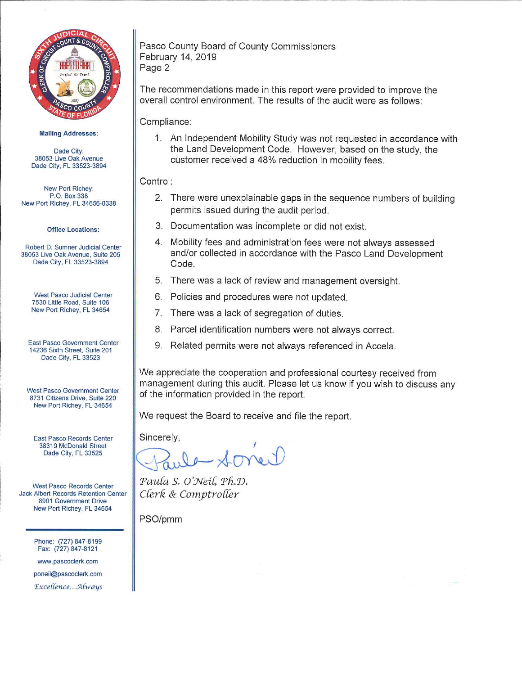

**Mailing Addresses:** 

Dade City: 38053 Live Oak Avenue Dade City, FL 33523-3894

New Port Richey: P.O. Box 338 New Port Richey, FL 34656-0338

**Office Locations:** 

Robert D. Sumner Judicial Center 38053 Live Oak Avenue, Suite 205 Dade City, FL 33523-3894

**West Pasco Judicial Center** 7530 Little Road, Suite 106 New Port Richey, FL 34654

East Pasco Government Center 14236 Sixth Street, Suite 201 Dade City, FL 33523

**West Pasco Government Center** 8731 Citizens Drive, Suite 220 New Port Richey, FL 34654

East Pasco Records Center 38319 McDonald Street Dade City, FL 33525

**West Pasco Records Center** Jack Albert Records Retention Center 8901 Government Drive New Port Richey, FL 34654

> Phone: (727) 847-8199 Fax: (727) 847-8121

www.pascoclerk.com

poneil@pascoclerk.com Excellence...Always Pasco County Board of County Commissioners February 14, 2019 Page 2

The recommendations made in this report were provided to improve the overall control environment. The results of the audit were as follows:

Compliance:

1. An Independent Mobility Study was not requested in accordance with the Land Development Code. However, based on the study, the customer received a 48% reduction in mobility fees.

## Control:

- 2. There were unexplainable gaps in the sequence numbers of building permits issued during the audit period.
- 3. Documentation was incomplete or did not exist.
- 4. Mobility fees and administration fees were not always assessed and/or collected in accordance with the Pasco Land Development Code.
- 5. There was a lack of review and management oversight.
- 6. Policies and procedures were not updated.
- 7. There was a lack of segregation of duties.
- 8. Parcel identification numbers were not always correct.
- 9. Related permits were not always referenced in Accela.

We appreciate the cooperation and professional courtesy received from management during this audit. Please let us know if you wish to discuss any of the information provided in the report.

We request the Board to receive and file the report.

Sincerely.

Paula S. O'Neil, Ph.D. Clerk & Comptroller

PSO/pmm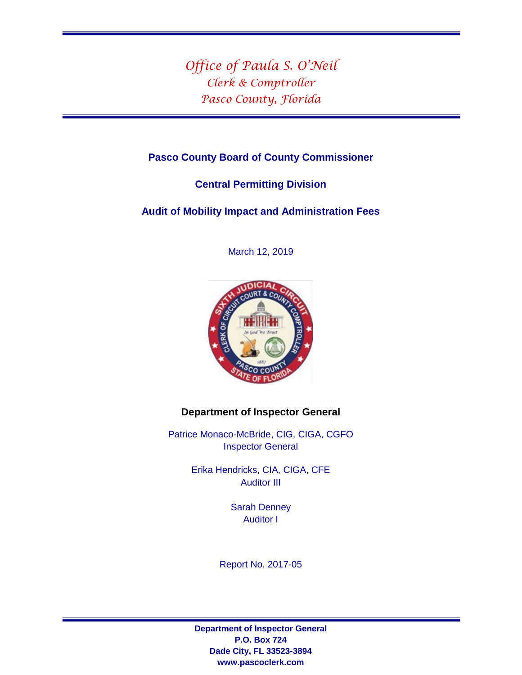*Office of Paula S. O'Neil Clerk & Comptroller Pasco County, Florida*

# **Pasco County Board of County Commissioner**

# **Central Permitting Division**

**Audit of Mobility Impact and Administration Fees** 

March 12, 2019



# **Department of Inspector General**

Patrice Monaco-McBride, CIG, CIGA, CGFO Inspector General

> Erika Hendricks, CIA, CIGA, CFE Auditor III

> > Sarah Denney Auditor I

Report No. 2017-05

**Department of Inspector General P.O. Box 724 Dade City, FL 33523-3894 www.pascoclerk.com**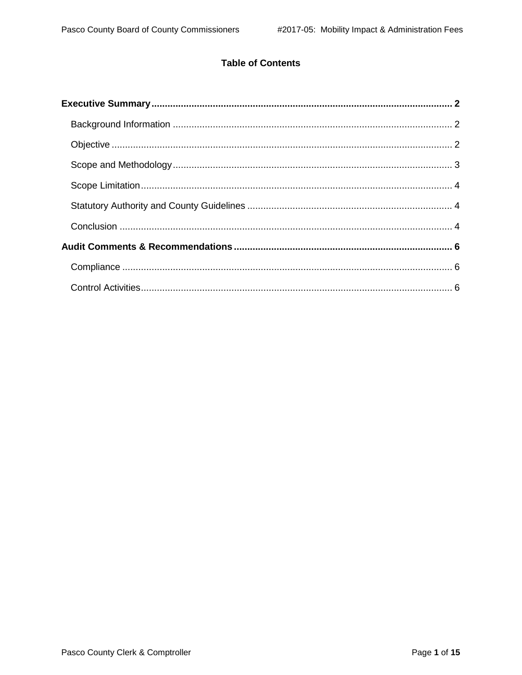# **Table of Contents**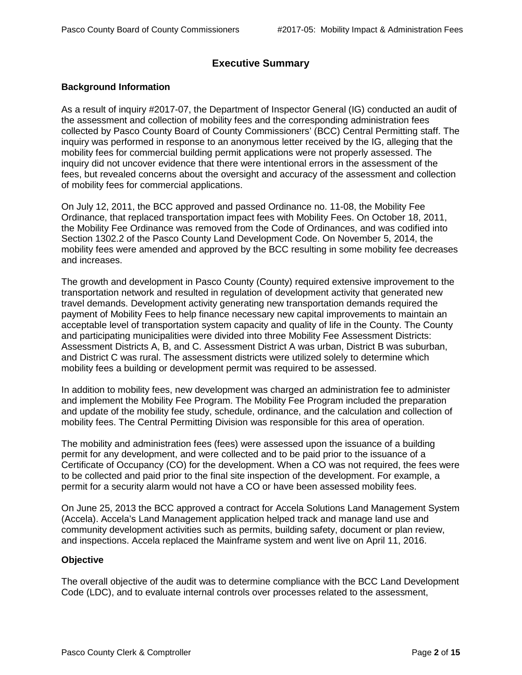# **Executive Summary**

## <span id="page-4-1"></span><span id="page-4-0"></span>**Background Information**

As a result of inquiry #2017-07, the Department of Inspector General (IG) conducted an audit of the assessment and collection of mobility fees and the corresponding administration fees collected by Pasco County Board of County Commissioners' (BCC) Central Permitting staff. The inquiry was performed in response to an anonymous letter received by the IG, alleging that the mobility fees for commercial building permit applications were not properly assessed. The inquiry did not uncover evidence that there were intentional errors in the assessment of the fees, but revealed concerns about the oversight and accuracy of the assessment and collection of mobility fees for commercial applications.

On July 12, 2011, the BCC approved and passed Ordinance no. 11-08, the Mobility Fee Ordinance, that replaced transportation impact fees with Mobility Fees. On October 18, 2011, the Mobility Fee Ordinance was removed from the Code of Ordinances, and was codified into Section 1302.2 of the Pasco County Land Development Code. On November 5, 2014, the mobility fees were amended and approved by the BCC resulting in some mobility fee decreases and increases.

The growth and development in Pasco County (County) required extensive improvement to the transportation network and resulted in regulation of development activity that generated new travel demands. Development activity generating new transportation demands required the payment of Mobility Fees to help finance necessary new capital improvements to maintain an acceptable level of transportation system capacity and quality of life in the County. The County and participating municipalities were divided into three Mobility Fee Assessment Districts: Assessment Districts A, B, and C. Assessment District A was urban, District B was suburban, and District C was rural. The assessment districts were utilized solely to determine which mobility fees a building or development permit was required to be assessed.

In addition to mobility fees, new development was charged an administration fee to administer and implement the Mobility Fee Program. The Mobility Fee Program included the preparation and update of the mobility fee study, schedule, ordinance, and the calculation and collection of mobility fees. The Central Permitting Division was responsible for this area of operation.

The mobility and administration fees (fees) were assessed upon the issuance of a building permit for any development, and were collected and to be paid prior to the issuance of a Certificate of Occupancy (CO) for the development. When a CO was not required, the fees were to be collected and paid prior to the final site inspection of the development. For example, a permit for a security alarm would not have a CO or have been assessed mobility fees.

On June 25, 2013 the BCC approved a contract for Accela Solutions Land Management System (Accela). Accela's Land Management application helped track and manage land use and community development activities such as permits, building safety, document or plan review, and inspections. Accela replaced the Mainframe system and went live on April 11, 2016.

## <span id="page-4-2"></span>**Objective**

The overall objective of the audit was to determine compliance with the BCC Land Development Code (LDC), and to evaluate internal controls over processes related to the assessment,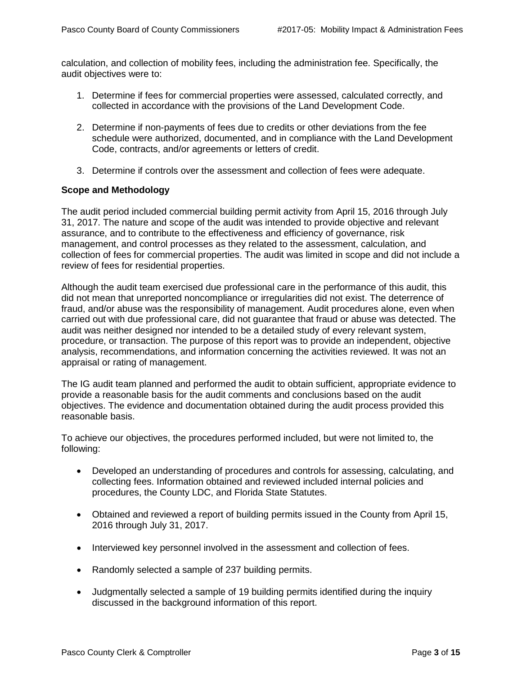calculation, and collection of mobility fees, including the administration fee. Specifically, the audit objectives were to:

- 1. Determine if fees for commercial properties were assessed, calculated correctly, and collected in accordance with the provisions of the Land Development Code.
- 2. Determine if non-payments of fees due to credits or other deviations from the fee schedule were authorized, documented, and in compliance with the Land Development Code, contracts, and/or agreements or letters of credit.
- 3. Determine if controls over the assessment and collection of fees were adequate.

#### <span id="page-5-0"></span>**Scope and Methodology**

The audit period included commercial building permit activity from April 15, 2016 through July 31, 2017. The nature and scope of the audit was intended to provide objective and relevant assurance, and to contribute to the effectiveness and efficiency of governance, risk management, and control processes as they related to the assessment, calculation, and collection of fees for commercial properties. The audit was limited in scope and did not include a review of fees for residential properties.

Although the audit team exercised due professional care in the performance of this audit, this did not mean that unreported noncompliance or irregularities did not exist. The deterrence of fraud, and/or abuse was the responsibility of management. Audit procedures alone, even when carried out with due professional care, did not guarantee that fraud or abuse was detected. The audit was neither designed nor intended to be a detailed study of every relevant system, procedure, or transaction. The purpose of this report was to provide an independent, objective analysis, recommendations, and information concerning the activities reviewed. It was not an appraisal or rating of management.

The IG audit team planned and performed the audit to obtain sufficient, appropriate evidence to provide a reasonable basis for the audit comments and conclusions based on the audit objectives. The evidence and documentation obtained during the audit process provided this reasonable basis.

To achieve our objectives, the procedures performed included, but were not limited to, the following:

- Developed an understanding of procedures and controls for assessing, calculating, and collecting fees. Information obtained and reviewed included internal policies and procedures, the County LDC, and Florida State Statutes.
- Obtained and reviewed a report of building permits issued in the County from April 15, 2016 through July 31, 2017.
- Interviewed key personnel involved in the assessment and collection of fees.
- Randomly selected a sample of 237 building permits.
- Judgmentally selected a sample of 19 building permits identified during the inquiry discussed in the background information of this report.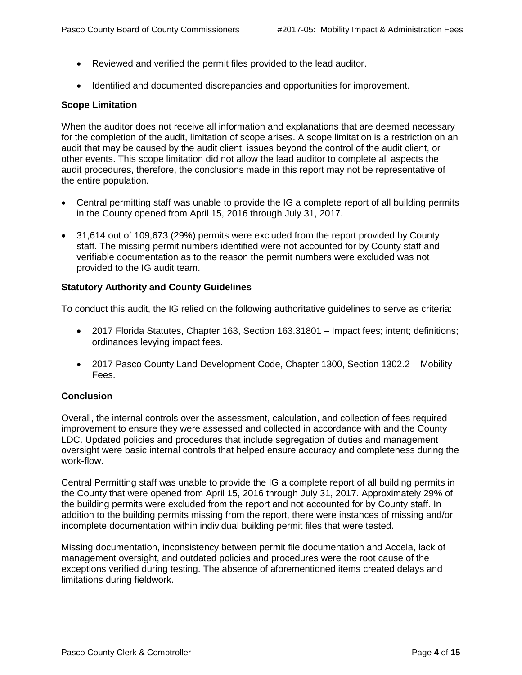- Reviewed and verified the permit files provided to the lead auditor.
- Identified and documented discrepancies and opportunities for improvement.

#### <span id="page-6-0"></span>**Scope Limitation**

When the auditor does not receive all information and explanations that are deemed necessary for the completion of the audit, limitation of scope arises. A scope limitation is a restriction on an audit that may be caused by the audit client, issues beyond the control of the audit client, or other events. This scope limitation did not allow the lead auditor to complete all aspects the audit procedures, therefore, the conclusions made in this report may not be representative of the entire population.

- Central permitting staff was unable to provide the IG a complete report of all building permits in the County opened from April 15, 2016 through July 31, 2017.
- 31,614 out of 109,673 (29%) permits were excluded from the report provided by County staff. The missing permit numbers identified were not accounted for by County staff and verifiable documentation as to the reason the permit numbers were excluded was not provided to the IG audit team.

#### <span id="page-6-1"></span>**Statutory Authority and County Guidelines**

To conduct this audit, the IG relied on the following authoritative guidelines to serve as criteria:

- 2017 Florida Statutes, Chapter 163, Section 163.31801 Impact fees; intent; definitions; ordinances levying impact fees.
- 2017 Pasco County Land Development Code, Chapter 1300, Section 1302.2 Mobility Fees.

## <span id="page-6-2"></span>**Conclusion**

Overall, the internal controls over the assessment, calculation, and collection of fees required improvement to ensure they were assessed and collected in accordance with and the County LDC. Updated policies and procedures that include segregation of duties and management oversight were basic internal controls that helped ensure accuracy and completeness during the work-flow.

Central Permitting staff was unable to provide the IG a complete report of all building permits in the County that were opened from April 15, 2016 through July 31, 2017. Approximately 29% of the building permits were excluded from the report and not accounted for by County staff. In addition to the building permits missing from the report, there were instances of missing and/or incomplete documentation within individual building permit files that were tested.

Missing documentation, inconsistency between permit file documentation and Accela, lack of management oversight, and outdated policies and procedures were the root cause of the exceptions verified during testing. The absence of aforementioned items created delays and limitations during fieldwork.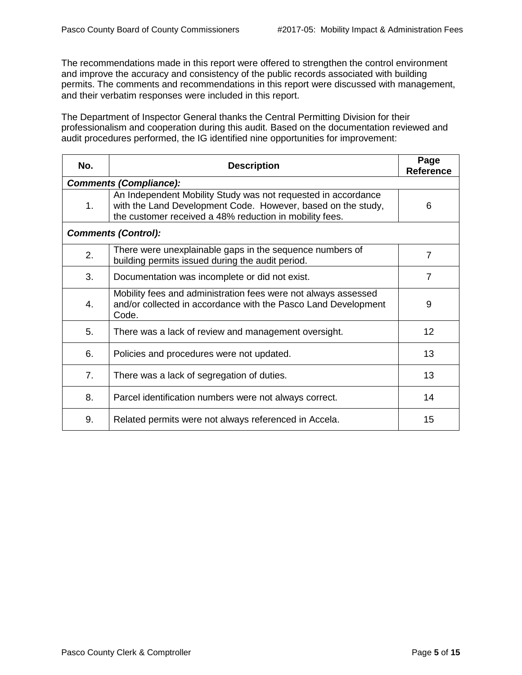The recommendations made in this report were offered to strengthen the control environment and improve the accuracy and consistency of the public records associated with building permits. The comments and recommendations in this report were discussed with management, and their verbatim responses were included in this report.

The Department of Inspector General thanks the Central Permitting Division for their professionalism and cooperation during this audit. Based on the documentation reviewed and audit procedures performed, the IG identified nine opportunities for improvement:

<span id="page-7-0"></span>

| No.                           | <b>Description</b>                                                                                                                                                                       | Page<br><b>Reference</b> |  |
|-------------------------------|------------------------------------------------------------------------------------------------------------------------------------------------------------------------------------------|--------------------------|--|
| <b>Comments (Compliance):</b> |                                                                                                                                                                                          |                          |  |
| 1.                            | An Independent Mobility Study was not requested in accordance<br>with the Land Development Code. However, based on the study,<br>the customer received a 48% reduction in mobility fees. | 6                        |  |
| <b>Comments (Control):</b>    |                                                                                                                                                                                          |                          |  |
| 2.                            | There were unexplainable gaps in the sequence numbers of<br>building permits issued during the audit period.                                                                             | $\overline{7}$           |  |
| 3.                            | Documentation was incomplete or did not exist.                                                                                                                                           | $\overline{7}$           |  |
| 4.                            | Mobility fees and administration fees were not always assessed<br>and/or collected in accordance with the Pasco Land Development<br>Code.                                                | 9                        |  |
| 5.                            | There was a lack of review and management oversight.                                                                                                                                     | 12                       |  |
| 6.                            | Policies and procedures were not updated.                                                                                                                                                | 13                       |  |
| 7.                            | There was a lack of segregation of duties.                                                                                                                                               | 13                       |  |
| 8.                            | Parcel identification numbers were not always correct.                                                                                                                                   | 14                       |  |
| 9.                            | Related permits were not always referenced in Accela.                                                                                                                                    | 15                       |  |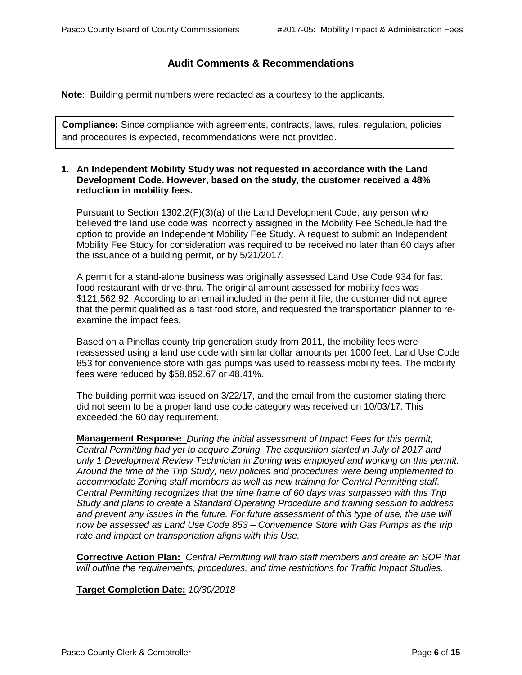# **Audit Comments & Recommendations**

**Note**: Building permit numbers were redacted as a courtesy to the applicants.

**Compliance:** Since compliance with agreements, contracts, laws, rules, regulation, policies and procedures is expected, recommendations were not provided.

#### **1. An Independent Mobility Study was not requested in accordance with the Land Development Code. However, based on the study, the customer received a 48% reduction in mobility fees.**

Pursuant to Section 1302.2(F)(3)(a) of the Land Development Code, any person who believed the land use code was incorrectly assigned in the Mobility Fee Schedule had the option to provide an Independent Mobility Fee Study. A request to submit an Independent Mobility Fee Study for consideration was required to be received no later than 60 days after the issuance of a building permit, or by 5/21/2017.

A permit for a stand-alone business was originally assessed Land Use Code 934 for fast food restaurant with drive-thru. The original amount assessed for mobility fees was \$121,562.92. According to an email included in the permit file, the customer did not agree that the permit qualified as a fast food store, and requested the transportation planner to reexamine the impact fees.

Based on a Pinellas county trip generation study from 2011, the mobility fees were reassessed using a land use code with similar dollar amounts per 1000 feet. Land Use Code 853 for convenience store with gas pumps was used to reassess mobility fees. The mobility fees were reduced by \$58,852.67 or 48.41%.

The building permit was issued on 3/22/17, and the email from the customer stating there did not seem to be a proper land use code category was received on 10/03/17. This exceeded the 60 day requirement.

**Management Response**: *During the initial assessment of Impact Fees for this permit, Central Permitting had yet to acquire Zoning. The acquisition started in July of 2017 and only 1 Development Review Technician in Zoning was employed and working on this permit. Around the time of the Trip Study, new policies and procedures were being implemented to accommodate Zoning staff members as well as new training for Central Permitting staff. Central Permitting recognizes that the time frame of 60 days was surpassed with this Trip Study and plans to create a Standard Operating Procedure and training session to address*  and prevent any issues in the future. For future assessment of this type of use, the use will *now be assessed as Land Use Code 853 – Convenience Store with Gas Pumps as the trip rate and impact on transportation aligns with this Use.*

**Corrective Action Plan:** *Central Permitting will train staff members and create an SOP that will outline the requirements, procedures, and time restrictions for Traffic Impact Studies.*

## **Target Completion Date:** *10/30/2018*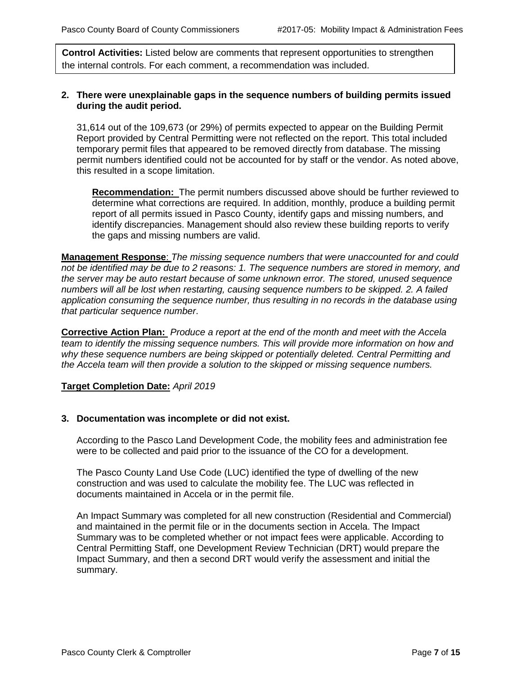**Control Activities:** Listed below are comments that represent opportunities to strengthen the internal controls. For each comment, a recommendation was included.

#### **2. There were unexplainable gaps in the sequence numbers of building permits issued during the audit period.**

31,614 out of the 109,673 (or 29%) of permits expected to appear on the Building Permit Report provided by Central Permitting were not reflected on the report. This total included temporary permit files that appeared to be removed directly from database. The missing permit numbers identified could not be accounted for by staff or the vendor. As noted above, this resulted in a scope limitation.

**Recommendation:** The permit numbers discussed above should be further reviewed to determine what corrections are required. In addition, monthly, produce a building permit report of all permits issued in Pasco County, identify gaps and missing numbers, and identify discrepancies. Management should also review these building reports to verify the gaps and missing numbers are valid.

**Management Response**: *The missing sequence numbers that were unaccounted for and could not be identified may be due to 2 reasons: 1. The sequence numbers are stored in memory, and the server may be auto restart because of some unknown error. The stored, unused sequence numbers will all be lost when restarting, causing sequence numbers to be skipped. 2. A failed application consuming the sequence number, thus resulting in no records in the database using that particular sequence number*.

**Corrective Action Plan:** *Produce a report at the end of the month and meet with the Accela team to identify the missing sequence numbers. This will provide more information on how and why these sequence numbers are being skipped or potentially deleted. Central Permitting and the Accela team will then provide a solution to the skipped or missing sequence numbers.*

## **Target Completion Date:** *April 2019*

#### **3. Documentation was incomplete or did not exist.**

According to the Pasco Land Development Code, the mobility fees and administration fee were to be collected and paid prior to the issuance of the CO for a development.

The Pasco County Land Use Code (LUC) identified the type of dwelling of the new construction and was used to calculate the mobility fee. The LUC was reflected in documents maintained in Accela or in the permit file.

An Impact Summary was completed for all new construction (Residential and Commercial) and maintained in the permit file or in the documents section in Accela. The Impact Summary was to be completed whether or not impact fees were applicable. According to Central Permitting Staff, one Development Review Technician (DRT) would prepare the Impact Summary, and then a second DRT would verify the assessment and initial the summary.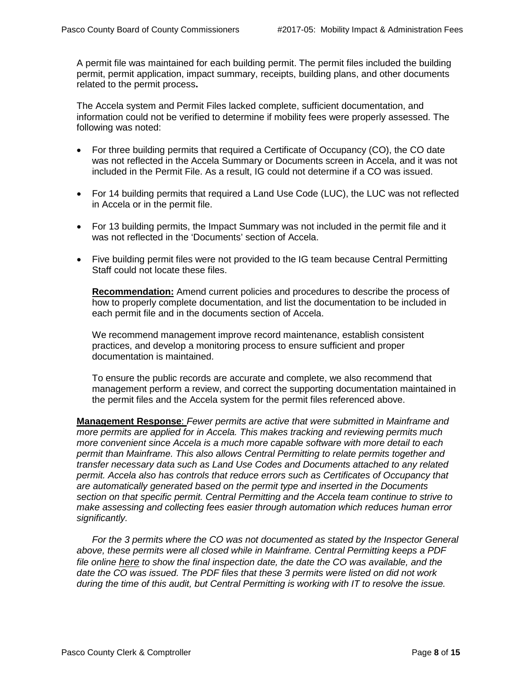A permit file was maintained for each building permit. The permit files included the building permit, permit application, impact summary, receipts, building plans, and other documents related to the permit process**.**

The Accela system and Permit Files lacked complete, sufficient documentation, and information could not be verified to determine if mobility fees were properly assessed. The following was noted:

- For three building permits that required a Certificate of Occupancy (CO), the CO date was not reflected in the Accela Summary or Documents screen in Accela, and it was not included in the Permit File. As a result, IG could not determine if a CO was issued.
- For 14 building permits that required a Land Use Code (LUC), the LUC was not reflected in Accela or in the permit file.
- For 13 building permits, the Impact Summary was not included in the permit file and it was not reflected in the 'Documents' section of Accela.
- Five building permit files were not provided to the IG team because Central Permitting Staff could not locate these files.

**Recommendation:** Amend current policies and procedures to describe the process of how to properly complete documentation, and list the documentation to be included in each permit file and in the documents section of Accela.

We recommend management improve record maintenance, establish consistent practices, and develop a monitoring process to ensure sufficient and proper documentation is maintained.

To ensure the public records are accurate and complete, we also recommend that management perform a review, and correct the supporting documentation maintained in the permit files and the Accela system for the permit files referenced above.

**Management Response**: *Fewer permits are active that were submitted in Mainframe and more permits are applied for in Accela. This makes tracking and reviewing permits much more convenient since Accela is a much more capable software with more detail to each permit than Mainframe. This also allows Central Permitting to relate permits together and transfer necessary data such as Land Use Codes and Documents attached to any related permit. Accela also has controls that reduce errors such as Certificates of Occupancy that are automatically generated based on the permit type and inserted in the Documents section on that specific permit. Central Permitting and the Accela team continue to strive to make assessing and collecting fees easier through automation which reduces human error significantly.*

*For the 3 permits where the CO was not documented as stated by the Inspector General above, these permits were all closed while in Mainframe. Central Permitting keeps a PDF file online [here](https://aca-pasco.accela.com/PASCO/Default.aspx) to show the final inspection date, the date the CO was available, and the date the CO was issued. The PDF files that these 3 permits were listed on did not work during the time of this audit, but Central Permitting is working with IT to resolve the issue.*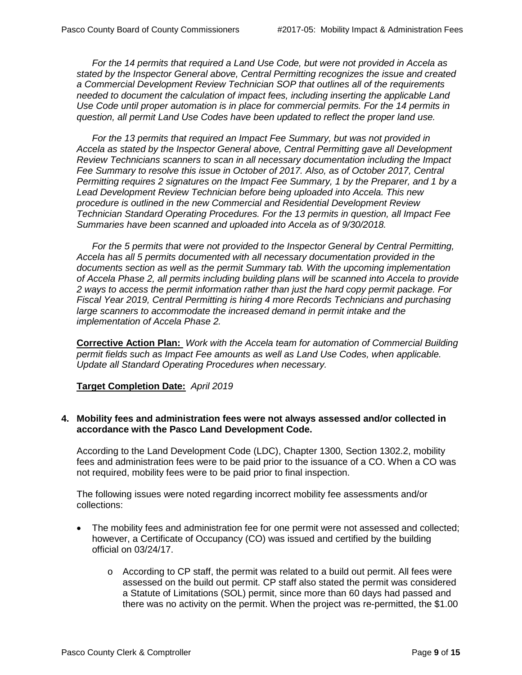*For the 14 permits that required a Land Use Code, but were not provided in Accela as stated by the Inspector General above, Central Permitting recognizes the issue and created a Commercial Development Review Technician SOP that outlines all of the requirements needed to document the calculation of impact fees, including inserting the applicable Land Use Code until proper automation is in place for commercial permits. For the 14 permits in question, all permit Land Use Codes have been updated to reflect the proper land use.*

*For the 13 permits that required an Impact Fee Summary, but was not provided in Accela as stated by the Inspector General above, Central Permitting gave all Development Review Technicians scanners to scan in all necessary documentation including the Impact Fee Summary to resolve this issue in October of 2017. Also, as of October 2017, Central Permitting requires 2 signatures on the Impact Fee Summary, 1 by the Preparer, and 1 by a Lead Development Review Technician before being uploaded into Accela. This new procedure is outlined in the new Commercial and Residential Development Review Technician Standard Operating Procedures. For the 13 permits in question, all Impact Fee Summaries have been scanned and uploaded into Accela as of 9/30/2018.*

*For the 5 permits that were not provided to the Inspector General by Central Permitting, Accela has all 5 permits documented with all necessary documentation provided in the documents section as well as the permit Summary tab. With the upcoming implementation of Accela Phase 2, all permits including building plans will be scanned into Accela to provide 2 ways to access the permit information rather than just the hard copy permit package. For Fiscal Year 2019, Central Permitting is hiring 4 more Records Technicians and purchasing large scanners to accommodate the increased demand in permit intake and the implementation of Accela Phase 2.* 

**Corrective Action Plan:** *Work with the Accela team for automation of Commercial Building permit fields such as Impact Fee amounts as well as Land Use Codes, when applicable. Update all Standard Operating Procedures when necessary.*

#### **Target Completion Date:** *April 2019*

#### **4. Mobility fees and administration fees were not always assessed and/or collected in accordance with the Pasco Land Development Code.**

According to the Land Development Code (LDC), Chapter 1300, Section 1302.2, mobility fees and administration fees were to be paid prior to the issuance of a CO. When a CO was not required, mobility fees were to be paid prior to final inspection.

The following issues were noted regarding incorrect mobility fee assessments and/or collections:

- The mobility fees and administration fee for one permit were not assessed and collected; however, a Certificate of Occupancy (CO) was issued and certified by the building official on 03/24/17.
	- o According to CP staff, the permit was related to a build out permit. All fees were assessed on the build out permit. CP staff also stated the permit was considered a Statute of Limitations (SOL) permit, since more than 60 days had passed and there was no activity on the permit. When the project was re-permitted, the \$1.00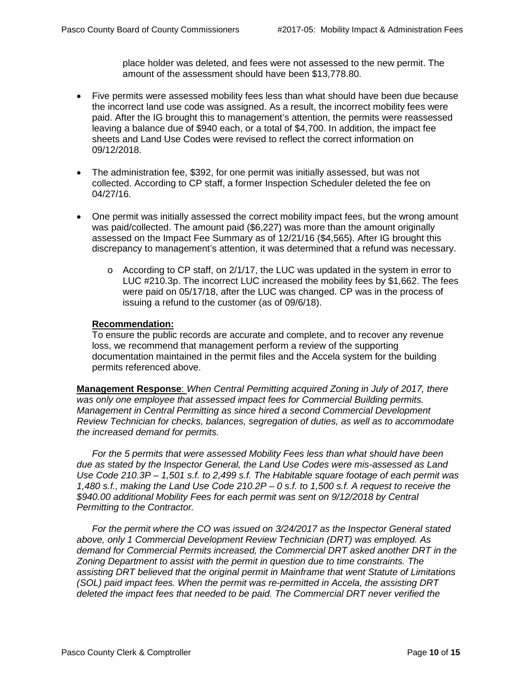place holder was deleted, and fees were not assessed to the new permit. The amount of the assessment should have been \$13,778.80.

- Five permits were assessed mobility fees less than what should have been due because the incorrect land use code was assigned. As a result, the incorrect mobility fees were paid. After the IG brought this to management's attention, the permits were reassessed leaving a balance due of \$940 each, or a total of \$4,700. In addition, the impact fee sheets and Land Use Codes were revised to reflect the correct information on 09/12/2018.
- The administration fee, \$392, for one permit was initially assessed, but was not collected. According to CP staff, a former Inspection Scheduler deleted the fee on 04/27/16.
- One permit was initially assessed the correct mobility impact fees, but the wrong amount was paid/collected. The amount paid (\$6,227) was more than the amount originally assessed on the Impact Fee Summary as of 12/21/16 (\$4,565). After IG brought this discrepancy to management's attention, it was determined that a refund was necessary.
	- $\circ$  According to CP staff, on 2/1/17, the LUC was updated in the system in error to LUC #210.3p. The incorrect LUC increased the mobility fees by \$1,662. The fees were paid on 05/17/18, after the LUC was changed. CP was in the process of issuing a refund to the customer (as of 09/6/18).

#### **Recommendation:**

To ensure the public records are accurate and complete, and to recover any revenue loss, we recommend that management perform a review of the supporting documentation maintained in the permit files and the Accela system for the building permits referenced above.

**Management Response**: *When Central Permitting acquired Zoning in July of 2017, there was only one employee that assessed impact fees for Commercial Building permits. Management in Central Permitting as since hired a second Commercial Development Review Technician for checks, balances, segregation of duties, as well as to accommodate the increased demand for permits.* 

*For the 5 permits that were assessed Mobility Fees less than what should have been due as stated by the Inspector General, the Land Use Codes were mis-assessed as Land Use Code 210.3P – 1,501 s.f. to 2,499 s.f. The Habitable square footage of each permit was 1,480 s.f., making the Land Use Code 210.2P – 0 s.f. to 1,500 s.f. A request to receive the \$940.00 additional Mobility Fees for each permit was sent on 9/12/2018 by Central Permitting to the Contractor.*

*For the permit where the CO was issued on 3/24/2017 as the Inspector General stated above, only 1 Commercial Development Review Technician (DRT) was employed. As demand for Commercial Permits increased, the Commercial DRT asked another DRT in the Zoning Department to assist with the permit in question due to time constraints. The assisting DRT believed that the original permit in Mainframe that went Statute of Limitations (SOL) paid impact fees. When the permit was re-permitted in Accela, the assisting DRT deleted the impact fees that needed to be paid. The Commercial DRT never verified the*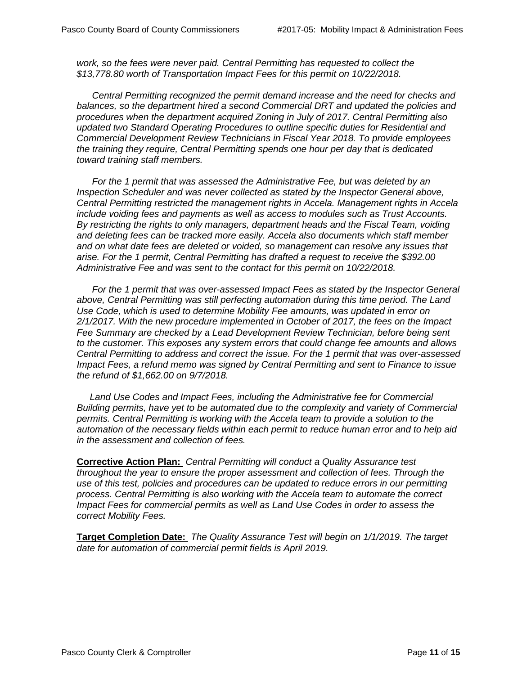*work, so the fees were never paid. Central Permitting has requested to collect the \$13,778.80 worth of Transportation Impact Fees for this permit on 10/22/2018.* 

*Central Permitting recognized the permit demand increase and the need for checks and balances, so the department hired a second Commercial DRT and updated the policies and procedures when the department acquired Zoning in July of 2017. Central Permitting also updated two Standard Operating Procedures to outline specific duties for Residential and Commercial Development Review Technicians in Fiscal Year 2018. To provide employees the training they require, Central Permitting spends one hour per day that is dedicated toward training staff members.* 

*For the 1 permit that was assessed the Administrative Fee, but was deleted by an Inspection Scheduler and was never collected as stated by the Inspector General above, Central Permitting restricted the management rights in Accela. Management rights in Accela include voiding fees and payments as well as access to modules such as Trust Accounts. By restricting the rights to only managers, department heads and the Fiscal Team, voiding and deleting fees can be tracked more easily. Accela also documents which staff member and on what date fees are deleted or voided, so management can resolve any issues that arise. For the 1 permit, Central Permitting has drafted a request to receive the \$392.00 Administrative Fee and was sent to the contact for this permit on 10/22/2018.*

*For the 1 permit that was over-assessed Impact Fees as stated by the Inspector General above, Central Permitting was still perfecting automation during this time period. The Land Use Code, which is used to determine Mobility Fee amounts, was updated in error on 2/1/2017. With the new procedure implemented in October of 2017, the fees on the Impact Fee Summary are checked by a Lead Development Review Technician, before being sent to the customer. This exposes any system errors that could change fee amounts and allows Central Permitting to address and correct the issue. For the 1 permit that was over-assessed Impact Fees, a refund memo was signed by Central Permitting and sent to Finance to issue the refund of \$1,662.00 on 9/7/2018.*

Land Use Codes and Impact Fees, including the Administrative fee for Commercial *Building permits, have yet to be automated due to the complexity and variety of Commercial permits. Central Permitting is working with the Accela team to provide a solution to the automation of the necessary fields within each permit to reduce human error and to help aid in the assessment and collection of fees.*

**Corrective Action Plan:** *Central Permitting will conduct a Quality Assurance test throughout the year to ensure the proper assessment and collection of fees. Through the use of this test, policies and procedures can be updated to reduce errors in our permitting process. Central Permitting is also working with the Accela team to automate the correct Impact Fees for commercial permits as well as Land Use Codes in order to assess the correct Mobility Fees.*

**Target Completion Date:** *The Quality Assurance Test will begin on 1/1/2019. The target date for automation of commercial permit fields is April 2019.*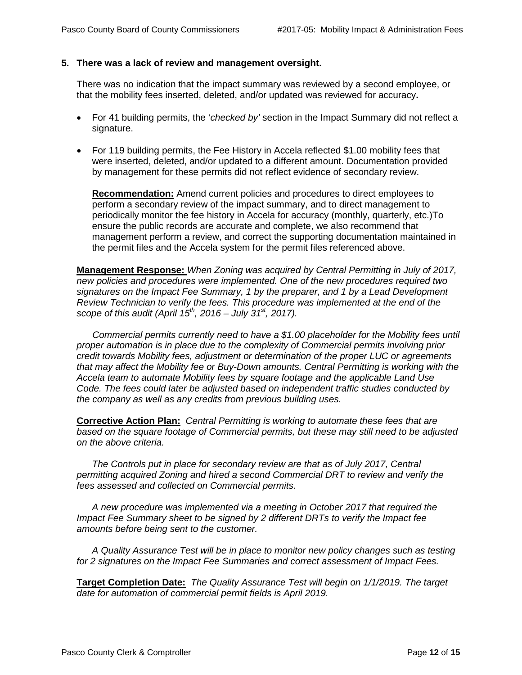#### **5. There was a lack of review and management oversight.**

There was no indication that the impact summary was reviewed by a second employee, or that the mobility fees inserted, deleted, and/or updated was reviewed for accuracy**.** 

- For 41 building permits, the '*checked by'* section in the Impact Summary did not reflect a signature.
- For 119 building permits, the Fee History in Accela reflected \$1.00 mobility fees that were inserted, deleted, and/or updated to a different amount. Documentation provided by management for these permits did not reflect evidence of secondary review.

**Recommendation:** Amend current policies and procedures to direct employees to perform a secondary review of the impact summary, and to direct management to periodically monitor the fee history in Accela for accuracy (monthly, quarterly, etc.)To ensure the public records are accurate and complete, we also recommend that management perform a review, and correct the supporting documentation maintained in the permit files and the Accela system for the permit files referenced above.

**Management Response:** *When Zoning was acquired by Central Permitting in July of 2017, new policies and procedures were implemented. One of the new procedures required two signatures on the Impact Fee Summary, 1 by the preparer, and 1 by a Lead Development Review Technician to verify the fees. This procedure was implemented at the end of the scope of this audit (April 15th, 2016 – July 31st, 2017).*

 *Commercial permits currently need to have a \$1.00 placeholder for the Mobility fees until proper automation is in place due to the complexity of Commercial permits involving prior credit towards Mobility fees, adjustment or determination of the proper LUC or agreements that may affect the Mobility fee or Buy-Down amounts. Central Permitting is working with the Accela team to automate Mobility fees by square footage and the applicable Land Use Code. The fees could later be adjusted based on independent traffic studies conducted by the company as well as any credits from previous building uses.*

**Corrective Action Plan:** *Central Permitting is working to automate these fees that are based on the square footage of Commercial permits, but these may still need to be adjusted on the above criteria.*

*The Controls put in place for secondary review are that as of July 2017, Central permitting acquired Zoning and hired a second Commercial DRT to review and verify the fees assessed and collected on Commercial permits.*

*A new procedure was implemented via a meeting in October 2017 that required the Impact Fee Summary sheet to be signed by 2 different DRTs to verify the Impact fee amounts before being sent to the customer.* 

*A Quality Assurance Test will be in place to monitor new policy changes such as testing for 2 signatures on the Impact Fee Summaries and correct assessment of Impact Fees.*

**Target Completion Date:** *The Quality Assurance Test will begin on 1/1/2019. The target date for automation of commercial permit fields is April 2019.*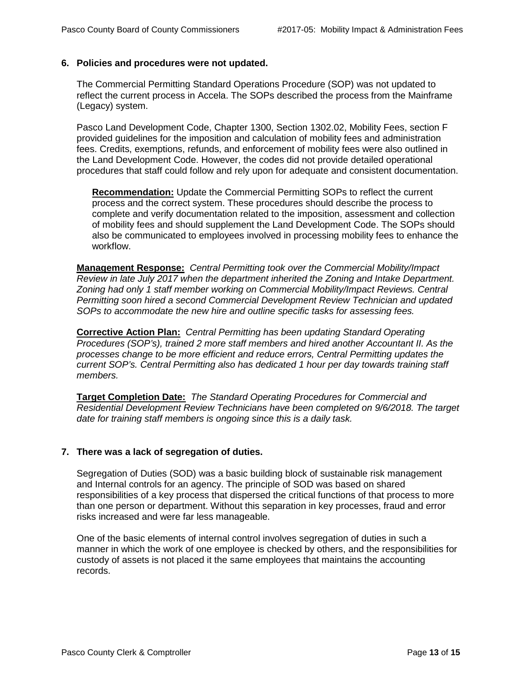#### **6. Policies and procedures were not updated.**

The Commercial Permitting Standard Operations Procedure (SOP) was not updated to reflect the current process in Accela. The SOPs described the process from the Mainframe (Legacy) system.

Pasco Land Development Code, Chapter 1300, Section 1302.02, Mobility Fees, section F provided guidelines for the imposition and calculation of mobility fees and administration fees. Credits, exemptions, refunds, and enforcement of mobility fees were also outlined in the Land Development Code. However, the codes did not provide detailed operational procedures that staff could follow and rely upon for adequate and consistent documentation.

**Recommendation:** Update the Commercial Permitting SOPs to reflect the current process and the correct system. These procedures should describe the process to complete and verify documentation related to the imposition, assessment and collection of mobility fees and should supplement the Land Development Code. The SOPs should also be communicated to employees involved in processing mobility fees to enhance the workflow.

**Management Response:** *Central Permitting took over the Commercial Mobility/Impact Review in late July 2017 when the department inherited the Zoning and Intake Department. Zoning had only 1 staff member working on Commercial Mobility/Impact Reviews. Central Permitting soon hired a second Commercial Development Review Technician and updated SOPs to accommodate the new hire and outline specific tasks for assessing fees.* 

**Corrective Action Plan:** *Central Permitting has been updating Standard Operating Procedures (SOP's), trained 2 more staff members and hired another Accountant II. As the processes change to be more efficient and reduce errors, Central Permitting updates the current SOP's. Central Permitting also has dedicated 1 hour per day towards training staff members.*

**Target Completion Date:** *The Standard Operating Procedures for Commercial and Residential Development Review Technicians have been completed on 9/6/2018. The target date for training staff members is ongoing since this is a daily task.*

## **7. There was a lack of segregation of duties.**

Segregation of Duties (SOD) was a basic building block of sustainable risk management and Internal controls for an agency. The principle of SOD was based on shared responsibilities of a key process that dispersed the critical functions of that process to more than one person or department. Without this separation in key processes, fraud and error risks increased and were far less manageable.

One of the basic elements of internal control involves segregation of duties in such a manner in which the work of one employee is checked by others, and the responsibilities for custody of assets is not placed it the same employees that maintains the accounting records.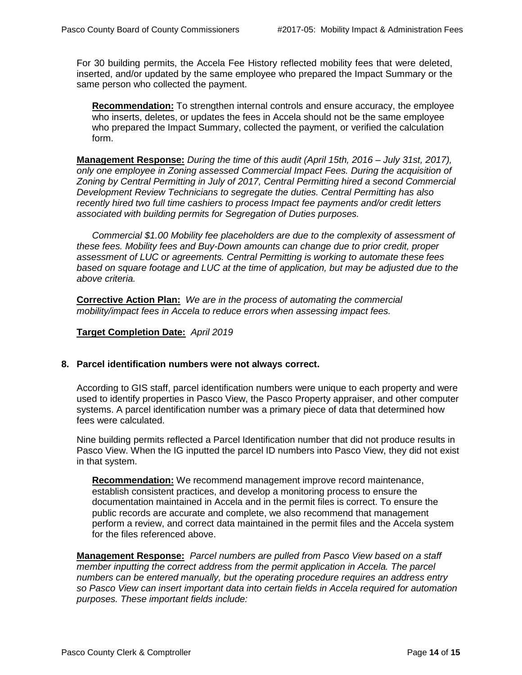For 30 building permits, the Accela Fee History reflected mobility fees that were deleted, inserted, and/or updated by the same employee who prepared the Impact Summary or the same person who collected the payment.

**Recommendation:** To strengthen internal controls and ensure accuracy, the employee who inserts, deletes, or updates the fees in Accela should not be the same employee who prepared the Impact Summary, collected the payment, or verified the calculation form.

**Management Response:** *During the time of this audit (April 15th, 2016 – July 31st, 2017), only one employee in Zoning assessed Commercial Impact Fees. During the acquisition of Zoning by Central Permitting in July of 2017, Central Permitting hired a second Commercial Development Review Technicians to segregate the duties. Central Permitting has also recently hired two full time cashiers to process Impact fee payments and/or credit letters associated with building permits for Segregation of Duties purposes.* 

*Commercial \$1.00 Mobility fee placeholders are due to the complexity of assessment of these fees. Mobility fees and Buy-Down amounts can change due to prior credit, proper assessment of LUC or agreements. Central Permitting is working to automate these fees based on square footage and LUC at the time of application, but may be adjusted due to the above criteria.*

**Corrective Action Plan:** *We are in the process of automating the commercial mobility/impact fees in Accela to reduce errors when assessing impact fees.* 

#### **Target Completion Date:** *April 2019*

#### **8. Parcel identification numbers were not always correct.**

According to GIS staff, parcel identification numbers were unique to each property and were used to identify properties in Pasco View, the Pasco Property appraiser, and other computer systems. A parcel identification number was a primary piece of data that determined how fees were calculated.

Nine building permits reflected a Parcel Identification number that did not produce results in Pasco View. When the IG inputted the parcel ID numbers into Pasco View, they did not exist in that system.

**Recommendation:** We recommend management improve record maintenance, establish consistent practices, and develop a monitoring process to ensure the documentation maintained in Accela and in the permit files is correct. To ensure the public records are accurate and complete, we also recommend that management perform a review, and correct data maintained in the permit files and the Accela system for the files referenced above.

**Management Response:** *Parcel numbers are pulled from Pasco View based on a staff member inputting the correct address from the permit application in Accela. The parcel numbers can be entered manually, but the operating procedure requires an address entry so Pasco View can insert important data into certain fields in Accela required for automation purposes. These important fields include:*